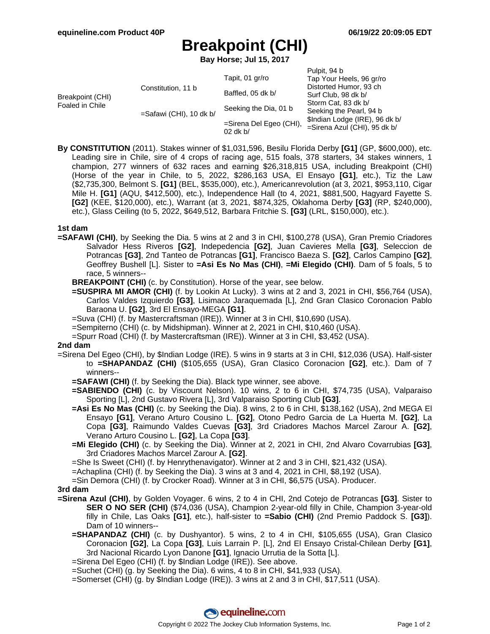# **Breakpoint (CHI)**

**Bay Horse; Jul 15, 2017**

| Breakpoint (CHI)<br>Foaled in Chile | Constitution, 11 b<br>$=$ Safawi (CHI), 10 dk b/ | Tapit, 01 gr/ro<br>Baffled, 05 dk b/<br>Seeking the Dia, 01 b<br>=Sirena Del Egeo (CHI),<br>$02$ dk b/ | Pulpit, 94 b<br>Tap Your Heels, 96 gr/ro<br>Distorted Humor, 93 ch<br>Surf Club, 98 dk b/<br>Storm Cat, 83 dk b/<br>Seeking the Pearl, 94 b<br>\$Indian Lodge (IRE), 96 dk b/<br>=Sirena Azul (CHI), 95 dk b/ |
|-------------------------------------|--------------------------------------------------|--------------------------------------------------------------------------------------------------------|---------------------------------------------------------------------------------------------------------------------------------------------------------------------------------------------------------------|
|                                     |                                                  |                                                                                                        |                                                                                                                                                                                                               |

**By CONSTITUTION** (2011). Stakes winner of \$1,031,596, Besilu Florida Derby **[G1]** (GP, \$600,000), etc. Leading sire in Chile, sire of 4 crops of racing age, 515 foals, 378 starters, 34 stakes winners, 1 champion, 277 winners of 632 races and earning \$26,318,815 USA, including Breakpoint (CHI) (Horse of the year in Chile, to 5, 2022, \$286,163 USA, El Ensayo **[G1]**, etc.), Tiz the Law (\$2,735,300, Belmont S. **[G1]** (BEL, \$535,000), etc.), Americanrevolution (at 3, 2021, \$953,110, Cigar Mile H. **[G1]** (AQU, \$412,500), etc.), Independence Hall (to 4, 2021, \$881,500, Hagyard Fayette S. **[G2]** (KEE, \$120,000), etc.), Warrant (at 3, 2021, \$874,325, Oklahoma Derby **[G3]** (RP, \$240,000), etc.), Glass Ceiling (to 5, 2022, \$649,512, Barbara Fritchie S. **[G3]** (LRL, \$150,000), etc.).

## **1st dam**

- **=SAFAWI (CHI)**, by Seeking the Dia. 5 wins at 2 and 3 in CHI, \$100,278 (USA), Gran Premio Criadores Salvador Hess Riveros **[G2]**, Indepedencia **[G2]**, Juan Cavieres Mella **[G3]**, Seleccion de Potrancas **[G3]**, 2nd Tanteo de Potrancas **[G1]**, Francisco Baeza S. **[G2]**, Carlos Campino **[G2]**, Geoffrey Bushell [L]. Sister to **=Asi Es No Mas (CHI)**, **=Mi Elegido (CHI)**. Dam of 5 foals, 5 to race, 5 winners--
	- **BREAKPOINT (CHI)** (c. by Constitution). Horse of the year, see below.
	- **=SUSPIRA MI AMOR (CHI)** (f. by Lookin At Lucky). 3 wins at 2 and 3, 2021 in CHI, \$56,764 (USA), Carlos Valdes Izquierdo **[G3]**, Lisimaco Jaraquemada [L], 2nd Gran Clasico Coronacion Pablo Baraona U. **[G2]**, 3rd El Ensayo-MEGA **[G1]**.
	- =Suva (CHI) (f. by Mastercraftsman (IRE)). Winner at 3 in CHI, \$10,690 (USA).
	- =Sempiterno (CHI) (c. by Midshipman). Winner at 2, 2021 in CHI, \$10,460 (USA).
	- =Spurr Road (CHI) (f. by Mastercraftsman (IRE)). Winner at 3 in CHI, \$3,452 (USA).

#### **2nd dam**

- =Sirena Del Egeo (CHI), by \$Indian Lodge (IRE). 5 wins in 9 starts at 3 in CHI, \$12,036 (USA). Half-sister to **=SHAPANDAZ (CHI)** (\$105,655 (USA), Gran Clasico Coronacion **[G2]**, etc.). Dam of 7 winners--
	- **=SAFAWI (CHI)** (f. by Seeking the Dia). Black type winner, see above.
	- **=SABIENDO (CHI)** (c. by Viscount Nelson). 10 wins, 2 to 6 in CHI, \$74,735 (USA), Valparaiso Sporting [L], 2nd Gustavo Rivera [L], 3rd Valparaiso Sporting Club **[G3]**.
	- **=Asi Es No Mas (CHI)** (c. by Seeking the Dia). 8 wins, 2 to 6 in CHI, \$138,162 (USA), 2nd MEGA El Ensayo **[G1]**, Verano Arturo Cousino L. **[G2]**, Otono Pedro Garcia de La Huerta M. **[G2]**, La Copa **[G3]**, Raimundo Valdes Cuevas **[G3]**, 3rd Criadores Machos Marcel Zarour A. **[G2]**, Verano Arturo Cousino L. **[G2]**, La Copa **[G3]**.
	- **=Mi Elegido (CHI)** (c. by Seeking the Dia). Winner at 2, 2021 in CHI, 2nd Alvaro Covarrubias **[G3]**, 3rd Criadores Machos Marcel Zarour A. **[G2]**.
	- =She Is Sweet (CHI) (f. by Henrythenavigator). Winner at 2 and 3 in CHI, \$21,432 (USA).
	- =Achaplina (CHI) (f. by Seeking the Dia). 3 wins at 3 and 4, 2021 in CHI, \$8,192 (USA).
	- =Sin Demora (CHI) (f. by Crocker Road). Winner at 3 in CHI, \$6,575 (USA). Producer.

#### **3rd dam**

- **=Sirena Azul (CHI)**, by Golden Voyager. 6 wins, 2 to 4 in CHI, 2nd Cotejo de Potrancas **[G3]**. Sister to **SER O NO SER (CHI)** (\$74,036 (USA), Champion 2-year-old filly in Chile, Champion 3-year-old filly in Chile, Las Oaks **[G1]**, etc.), half-sister to **=Sabio (CHI)** (2nd Premio Paddock S. **[G3]**). Dam of 10 winners--
	- **=SHAPANDAZ (CHI)** (c. by Dushyantor). 5 wins, 2 to 4 in CHI, \$105,655 (USA), Gran Clasico Coronacion **[G2]**, La Copa **[G3]**, Luis Larrain P. [L], 2nd El Ensayo Cristal-Chilean Derby **[G1]**, 3rd Nacional Ricardo Lyon Danone **[G1]**, Ignacio Urrutia de la Sotta [L].
	- =Sirena Del Egeo (CHI) (f. by \$Indian Lodge (IRE)). See above.
	- =Suchet (CHI) (g. by Seeking the Dia). 6 wins, 4 to 8 in CHI, \$41,933 (USA).
	- =Somerset (CHI) (g. by \$Indian Lodge (IRE)). 3 wins at 2 and 3 in CHI, \$17,511 (USA).